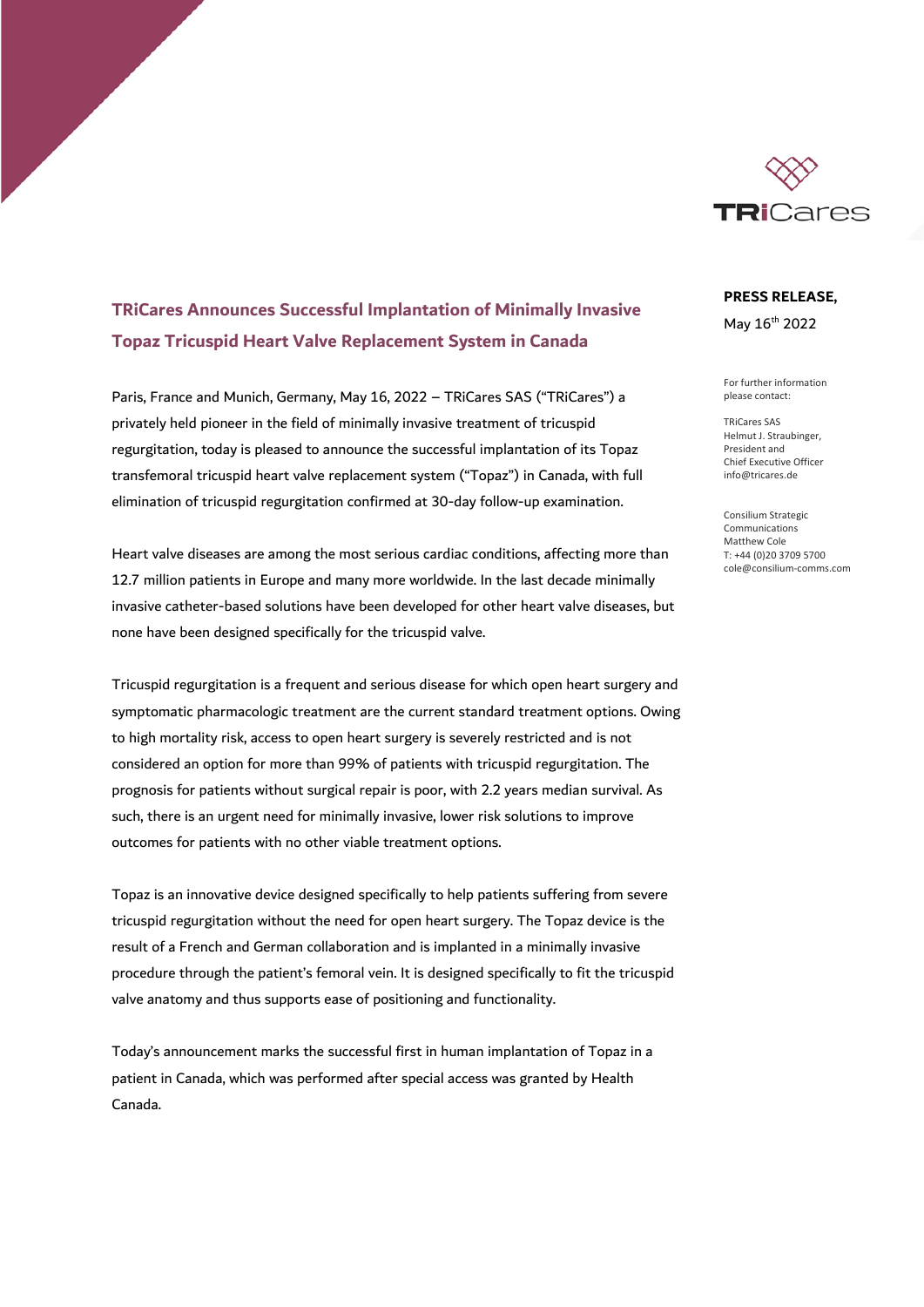

# **TRiCares Announces Successful Implantation of Minimally Invasive Topaz Tricuspid Heart Valve Replacement System in Canada**

Paris, France and Munich, Germany, May 16, 2022 – TRiCares SAS ("TRiCares") a privately held pioneer in the field of minimally invasive treatment of tricuspid regurgitation, today is pleased to announce the successful implantation of its Topaz transfemoral tricuspid heart valve replacement system ("Topaz") in Canada, with full elimination of tricuspid regurgitation confirmed at 30-day follow-up examination.

Heart valve diseases are among the most serious cardiac conditions, affecting more than 12.7 million patients in Europe and many more worldwide. In the last decade minimally invasive catheter-based solutions have been developed for other heart valve diseases, but none have been designed specifically for the tricuspid valve.

Tricuspid regurgitation is a frequent and serious disease for which open heart surgery and symptomatic pharmacologic treatment are the current standard treatment options. Owing to high mortality risk, access to open heart surgery is severely restricted and is not considered an option for more than 99% of patients with tricuspid regurgitation. The prognosis for patients without surgical repair is poor, with 2.2 years median survival. As such, there is an urgent need for minimally invasive, lower risk solutions to improve outcomes for patients with no other viable treatment options.

Topaz is an innovative device designed specifically to help patients suffering from severe tricuspid regurgitation without the need for open heart surgery. The Topaz device is the result of a French and German collaboration and is implanted in a minimally invasive procedure through the patient's femoral vein. It is designed specifically to fit the tricuspid valve anatomy and thus supports ease of positioning and functionality.

Today's announcement marks the successful first in human implantation of Topaz in a patient in Canada, which was performed after special access was granted by Health Canada.

## **PRESS RELEASE,**

May 16th 2022

For further information please contact:

TRiCares SAS Helmut J. Straubinger, President and Chief Executive Officer info@tricares.de

Consilium Strategic Communications Matthew Cole T: +44 (0)20 3709 5700 cole@consilium-comms.com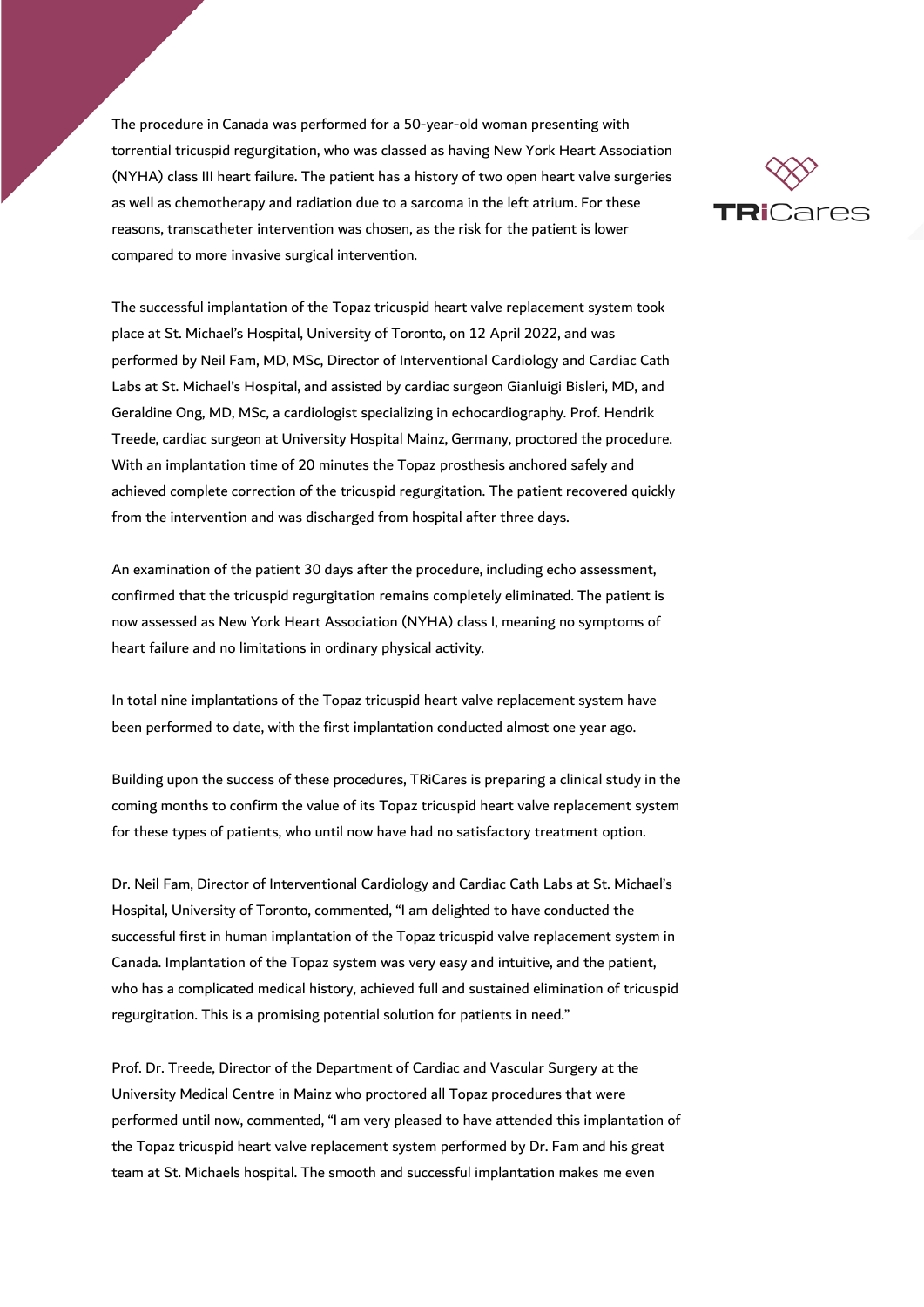The procedure in Canada was performed for a 50-year-old woman presenting with torrential tricuspid regurgitation, who was classed as having New York Heart Association (NYHA) class III heart failure. The patient has a history of two open heart valve surgeries as well as chemotherapy and radiation due to a sarcoma in the left atrium. For these reasons, transcatheter intervention was chosen, as the risk for the patient is lower compared to more invasive surgical intervention.



An examination of the patient 30 days after the procedure, including echo assessment, confirmed that the tricuspid regurgitation remains completely eliminated. The patient is now assessed as New York Heart Association (NYHA) class I, meaning no symptoms of heart failure and no limitations in ordinary physical activity.

In total nine implantations of the Topaz tricuspid heart valve replacement system have been performed to date, with the first implantation conducted almost one year ago.

Building upon the success of these procedures, TRiCares is preparing a clinical study in the coming months to confirm the value of its Topaz tricuspid heart valve replacement system for these types of patients, who until now have had no satisfactory treatment option.

Dr. Neil Fam, Director of Interventional Cardiology and Cardiac Cath Labs at St. Michael's Hospital, University of Toronto, commented, "I am delighted to have conducted the successful first in human implantation of the Topaz tricuspid valve replacement system in Canada. Implantation of the Topaz system was very easy and intuitive, and the patient, who has a complicated medical history, achieved full and sustained elimination of tricuspid regurgitation. This is a promising potential solution for patients in need."

Prof. Dr. Treede, Director of the Department of Cardiac and Vascular Surgery at the University Medical Centre in Mainz who proctored all Topaz procedures that were performed until now, commented, "I am very pleased to have attended this implantation of the Topaz tricuspid heart valve replacement system performed by Dr. Fam and his great team at St. Michaels hospital. The smooth and successful implantation makes me even